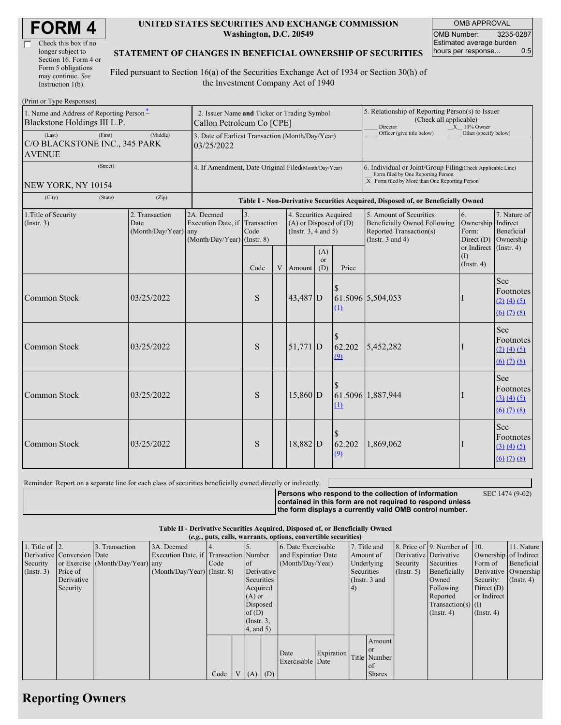| <b>FORM4</b> |
|--------------|
|--------------|

| Check this box if no  |  |
|-----------------------|--|
| longer subject to     |  |
| Section 16. Form 4 or |  |
| Form 5 obligations    |  |
| may continue. See     |  |
| Instruction 1(b).     |  |

 $(D_{\text{rint}} \text{ or } \text{T} \text{ and } \text{Do}$ 

#### **UNITED STATES SECURITIES AND EXCHANGE COMMISSION Washington, D.C. 20549**

OMB APPROVAL OMB Number: 3235-0287 Estimated average burden hours per response... 0.5

### **STATEMENT OF CHANGES IN BENEFICIAL OWNERSHIP OF SECURITIES**

Filed pursuant to Section 16(a) of the Securities Exchange Act of 1934 or Section 30(h) of the Investment Company Act of 1940

| $1 \text{ min}$ or $1 \text{ ypc}$ responses)<br>1. Name and Address of Reporting Person*<br>Blackstone Holdings III L.P.<br>(Last) | 2. Issuer Name and Ticker or Trading Symbol<br>Callon Petroleum Co [CPE]<br>3. Date of Earliest Transaction (Month/Day/Year) |                                                |                                                                 |                                                                                  |   |                                                                                  | 5. Relationship of Reporting Person(s) to Issuer<br>(Check all applicable)<br>Director<br>$X = 10\%$ Owner<br>Officer (give title below)<br>Other (specify below) |                                                                                                                                                    |                                                                                                                    |                                                 |                                                                                                                                |  |  |
|-------------------------------------------------------------------------------------------------------------------------------------|------------------------------------------------------------------------------------------------------------------------------|------------------------------------------------|-----------------------------------------------------------------|----------------------------------------------------------------------------------|---|----------------------------------------------------------------------------------|-------------------------------------------------------------------------------------------------------------------------------------------------------------------|----------------------------------------------------------------------------------------------------------------------------------------------------|--------------------------------------------------------------------------------------------------------------------|-------------------------------------------------|--------------------------------------------------------------------------------------------------------------------------------|--|--|
| (First)<br>(Middle)<br>C/O BLACKSTONE INC., 345 PARK<br><b>AVENUE</b>                                                               |                                                                                                                              |                                                | 03/25/2022                                                      |                                                                                  |   |                                                                                  |                                                                                                                                                                   |                                                                                                                                                    |                                                                                                                    |                                                 |                                                                                                                                |  |  |
| (Street)<br>NEW YORK, NY 10154                                                                                                      |                                                                                                                              |                                                | 4. If Amendment, Date Original Filed(Month/Day/Year)            |                                                                                  |   |                                                                                  |                                                                                                                                                                   | 6. Individual or Joint/Group Filing(Check Applicable Line)<br>Form filed by One Reporting Person<br>X Form filed by More than One Reporting Person |                                                                                                                    |                                                 |                                                                                                                                |  |  |
| (City)                                                                                                                              | (State)                                                                                                                      | (Zip)                                          |                                                                 | Table I - Non-Derivative Securities Acquired, Disposed of, or Beneficially Owned |   |                                                                                  |                                                                                                                                                                   |                                                                                                                                                    |                                                                                                                    |                                                 |                                                                                                                                |  |  |
| 1. Title of Security<br>(Insert. 3)                                                                                                 |                                                                                                                              | 2. Transaction<br>Date<br>(Month/Day/Year) any | 2A. Deemed<br>Execution Date, if<br>(Month/Day/Year) (Instr. 8) | 3.<br>Transaction<br>Code                                                        |   | 4. Securities Acquired<br>$(A)$ or Disposed of $(D)$<br>(Instr. $3, 4$ and $5$ ) |                                                                                                                                                                   |                                                                                                                                                    | 5. Amount of Securities<br><b>Beneficially Owned Following</b><br>Reported Transaction(s)<br>(Instr. $3$ and $4$ ) | 6.<br>Ownership Indirect<br>Form:<br>Direct (D) | 7. Nature of<br>Beneficial<br>Ownership                                                                                        |  |  |
|                                                                                                                                     |                                                                                                                              |                                                |                                                                 | Code                                                                             | V | Amount                                                                           | (A)<br><sub>or</sub><br>(D)                                                                                                                                       | Price                                                                                                                                              |                                                                                                                    | or Indirect<br>(I)<br>$($ Instr. 4 $)$          | $($ Instr. 4 $)$                                                                                                               |  |  |
| Common Stock                                                                                                                        |                                                                                                                              | 03/25/2022                                     |                                                                 | S                                                                                |   | 43,487 D                                                                         |                                                                                                                                                                   | $\Omega$                                                                                                                                           | 61.5096 5,504,053                                                                                                  |                                                 | See<br>Footnotes<br>$(2)$ $(4)$ $(5)$<br>$\underline{(6)}$ $\underline{(7)}$ $\underline{(8)}$                                 |  |  |
| Common Stock                                                                                                                        |                                                                                                                              | 03/25/2022                                     |                                                                 | S                                                                                |   | 51,771 D                                                                         |                                                                                                                                                                   | 62.202<br>(9)                                                                                                                                      | 5,452,282                                                                                                          |                                                 | See<br>Footnotes<br>(2) (4) (5)<br>$(6)$ $(7)$ $(8)$                                                                           |  |  |
| Common Stock                                                                                                                        |                                                                                                                              | 03/25/2022                                     |                                                                 | S                                                                                |   | 15,860 D                                                                         |                                                                                                                                                                   | $\Omega$                                                                                                                                           | 61.5096 1,887,944                                                                                                  |                                                 | See<br>Footnotes<br>(3) (4) (5)<br>$(6)$ $(7)$ $(8)$                                                                           |  |  |
| Common Stock                                                                                                                        |                                                                                                                              | 03/25/2022                                     |                                                                 | S                                                                                |   | 18,882 D                                                                         |                                                                                                                                                                   | \$<br>62.202<br>(9)                                                                                                                                | 1,869,062                                                                                                          |                                                 | See<br>Footnotes<br>$\underline{(3)} \underline{(4)} \underline{(5)}$<br>$\underline{(6)}$ $\underline{(7)}$ $\underline{(8)}$ |  |  |

Reminder: Report on a separate line for each class of securities beneficially owned directly or indirectly.

**Persons who respond to the collection of information contained in this form are not required to respond unless the form displays a currently valid OMB control number.**

SEC 1474 (9-02)

**Table II - Derivative Securities Acquired, Disposed of, or Beneficially Owned**

| (e.g., puts, calls, warrants, options, convertible securities) |                            |                                  |                                       |      |  |                  |          |                     |            |            |               |                      |                              |                       |                  |
|----------------------------------------------------------------|----------------------------|----------------------------------|---------------------------------------|------|--|------------------|----------|---------------------|------------|------------|---------------|----------------------|------------------------------|-----------------------|------------------|
| 1. Title of $\vert$ 2.                                         |                            | 3. Transaction                   | 3A. Deemed                            |      |  |                  |          | 6. Date Exercisable |            |            | 7. Title and  |                      | 8. Price of 9. Number of 10. |                       | 11. Nature       |
|                                                                | Derivative Conversion Date |                                  | Execution Date, if Transaction Number |      |  |                  |          | and Expiration Date |            | Amount of  |               |                      | Derivative Derivative        | Ownership of Indirect |                  |
| Security                                                       |                            | or Exercise (Month/Day/Year) any |                                       | Code |  | $\circ$ f        |          | (Month/Day/Year)    |            | Underlying |               | Security             | Securities                   | Form of               | Beneficial       |
| $($ Instr. 3 $)$                                               | Price of                   |                                  | $(Month/Day/Year)$ (Instr. 8)         |      |  | Derivative       |          |                     |            | Securities |               | (Insert. 5)          | Beneficially                 | Derivative Ownership  |                  |
|                                                                | Derivative                 |                                  |                                       |      |  | Securities       |          |                     |            |            | (Instr. 3 and |                      | Owned                        | Security:             | $($ Instr. 4 $)$ |
|                                                                | Security                   |                                  |                                       |      |  | Acquired         |          |                     |            | (4)        |               |                      | Following                    | Direct $(D)$          |                  |
|                                                                |                            |                                  |                                       |      |  | $(A)$ or         |          |                     |            |            |               | Reported             | or Indirect                  |                       |                  |
|                                                                |                            |                                  |                                       |      |  |                  | Disposed |                     |            |            |               | Transaction(s) $(I)$ |                              |                       |                  |
|                                                                |                            |                                  |                                       |      |  | of $(D)$         |          |                     |            |            |               |                      | $($ Instr. 4 $)$             | $($ Instr. 4 $)$      |                  |
|                                                                |                            |                                  |                                       |      |  | $($ Instr. $3$ , |          |                     |            |            |               |                      |                              |                       |                  |
|                                                                |                            |                                  |                                       |      |  | 4, and 5)        |          |                     |            |            |               |                      |                              |                       |                  |
|                                                                |                            |                                  |                                       |      |  |                  |          |                     |            |            | Amount        |                      |                              |                       |                  |
|                                                                |                            |                                  |                                       |      |  |                  |          |                     |            |            | <b>or</b>     |                      |                              |                       |                  |
|                                                                |                            |                                  |                                       |      |  |                  |          | Date                | Expiration |            | Title Number  |                      |                              |                       |                  |
|                                                                |                            |                                  |                                       |      |  |                  |          | Exercisable Date    |            |            | of            |                      |                              |                       |                  |
|                                                                |                            |                                  |                                       | Code |  | $(A)$ $(D)$      |          |                     |            |            | <b>Shares</b> |                      |                              |                       |                  |

## **Reporting Owners**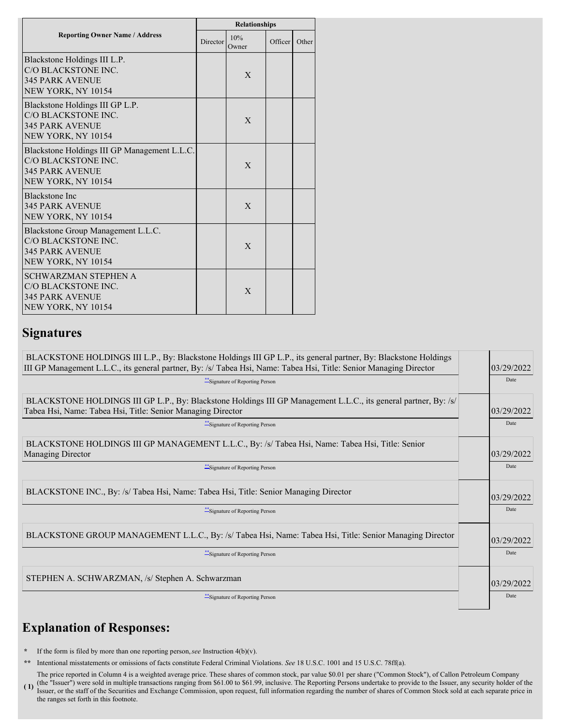|                                                                                                                     | <b>Relationships</b> |              |                      |       |  |  |
|---------------------------------------------------------------------------------------------------------------------|----------------------|--------------|----------------------|-------|--|--|
| <b>Reporting Owner Name / Address</b>                                                                               | Director             | 10%<br>Owner | Officer <sup>1</sup> | Other |  |  |
| Blackstone Holdings III L.P.<br>C/O BLACKSTONE INC.<br><b>345 PARK AVENUE</b><br>NEW YORK, NY 10154                 |                      | X            |                      |       |  |  |
| Blackstone Holdings III GP L.P.<br>C/O BLACKSTONE INC.<br><b>345 PARK AVENUE</b><br>NEW YORK, NY 10154              |                      | X            |                      |       |  |  |
| Blackstone Holdings III GP Management L.L.C.<br>C/O BLACKSTONE INC.<br><b>345 PARK AVENUE</b><br>NEW YORK, NY 10154 |                      | $\mathbf{X}$ |                      |       |  |  |
| <b>Blackstone Inc</b><br><b>345 PARK AVENUE</b><br>NEW YORK, NY 10154                                               |                      | $\mathbf{X}$ |                      |       |  |  |
| Blackstone Group Management L.L.C.<br>C/O BLACKSTONE INC.<br><b>345 PARK AVENUE</b><br>NEW YORK, NY 10154           |                      | $\mathbf{X}$ |                      |       |  |  |
| <b>SCHWARZMAN STEPHEN A</b><br>C/O BLACKSTONE INC.<br><b>345 PARK AVENUE</b><br>NEW YORK, NY 10154                  |                      | X            |                      |       |  |  |

### **Signatures**

| BLACKSTONE HOLDINGS III L.P., By: Blackstone Holdings III GP L.P., its general partner, By: Blackstone Holdings<br>III GP Management L.L.C., its general partner, By: /s/ Tabea Hsi, Name: Tabea Hsi, Title: Senior Managing Director<br>*** Signature of Reporting Person | 03/29/2022<br>Date |
|----------------------------------------------------------------------------------------------------------------------------------------------------------------------------------------------------------------------------------------------------------------------------|--------------------|
| BLACKSTONE HOLDINGS III GP L.P., By: Blackstone Holdings III GP Management L.L.C., its general partner, By: /s/<br>Tabea Hsi, Name: Tabea Hsi, Title: Senior Managing Director<br>Signature of Reporting Person                                                            | 03/29/2022<br>Date |
| BLACKSTONE HOLDINGS III GP MANAGEMENT L.L.C., By: /s/ Tabea Hsi, Name: Tabea Hsi, Title: Senior<br><b>Managing Director</b><br>Signature of Reporting Person                                                                                                               | 03/29/2022<br>Date |
| BLACKSTONE INC., By: /s/ Tabea Hsi, Name: Tabea Hsi, Title: Senior Managing Director<br>**Signature of Reporting Person                                                                                                                                                    | 03/29/2022<br>Date |
| BLACKSTONE GROUP MANAGEMENT L.L.C., By: /s/ Tabea Hsi, Name: Tabea Hsi, Title: Senior Managing Director<br>Signature of Reporting Person                                                                                                                                   | 03/29/2022<br>Date |
| STEPHEN A. SCHWARZMAN, /s/ Stephen A. Schwarzman<br>***Signature of Reporting Person                                                                                                                                                                                       | 03/29/2022<br>Date |

# **Explanation of Responses:**

**\*** If the form is filed by more than one reporting person,*see* Instruction 4(b)(v).

**\*\*** Intentional misstatements or omissions of facts constitute Federal Criminal Violations. *See* 18 U.S.C. 1001 and 15 U.S.C. 78ff(a).

**( 1)** The price reported in Column 4 is a weighted average price. These shares of common stock, par value \$0.01 per share ("Common Stock"), of Callon Petroleum Company (the "Issuer") were sold in multiple transactions ranging from \$61.00 to \$61.99, inclusive. The Reporting Persons undertake to provide to the Issuer, any security holder of the Issuer, or the staff of the Securities and Exchange Commission, upon request, full information regarding the number of shares of Common Stock sold at each separate price in the ranges set forth in this footnote.